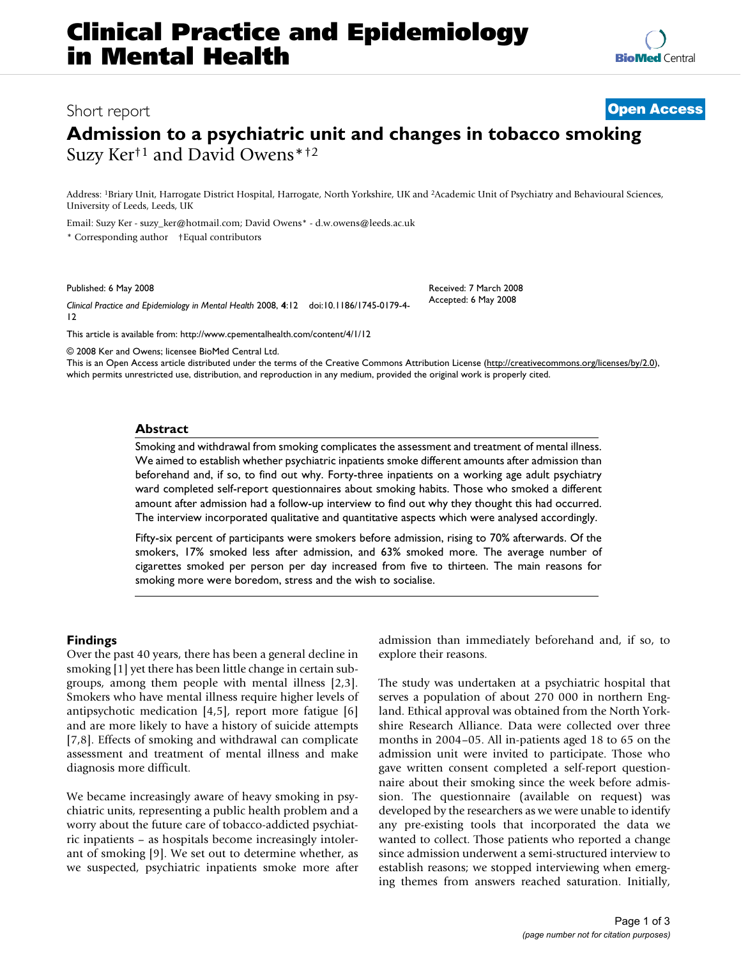# Short report **[Open Access](http://www.biomedcentral.com/info/about/charter/)**

# **Admission to a psychiatric unit and changes in tobacco smoking** Suzy Ker†1 and David Owens\*†2

Address: 1Briary Unit, Harrogate District Hospital, Harrogate, North Yorkshire, UK and 2Academic Unit of Psychiatry and Behavioural Sciences, University of Leeds, Leeds, UK

Email: Suzy Ker - suzy\_ker@hotmail.com; David Owens\* - d.w.owens@leeds.ac.uk

\* Corresponding author †Equal contributors

Published: 6 May 2008

*Clinical Practice and Epidemiology in Mental Health* 2008, **4**:12 doi:10.1186/1745-0179-4- 12

[This article is available from: http://www.cpementalhealth.com/content/4/1/12](http://www.cpementalhealth.com/content/4/1/12)

© 2008 Ker and Owens; licensee BioMed Central Ltd.

This is an Open Access article distributed under the terms of the Creative Commons Attribution License [\(http://creativecommons.org/licenses/by/2.0\)](http://creativecommons.org/licenses/by/2.0), which permits unrestricted use, distribution, and reproduction in any medium, provided the original work is properly cited.

# **Abstract**

Smoking and withdrawal from smoking complicates the assessment and treatment of mental illness. We aimed to establish whether psychiatric inpatients smoke different amounts after admission than beforehand and, if so, to find out why. Forty-three inpatients on a working age adult psychiatry ward completed self-report questionnaires about smoking habits. Those who smoked a different amount after admission had a follow-up interview to find out why they thought this had occurred. The interview incorporated qualitative and quantitative aspects which were analysed accordingly.

Fifty-six percent of participants were smokers before admission, rising to 70% afterwards. Of the smokers, 17% smoked less after admission, and 63% smoked more. The average number of cigarettes smoked per person per day increased from five to thirteen. The main reasons for smoking more were boredom, stress and the wish to socialise.

# **Findings**

Over the past 40 years, there has been a general decline in smoking [1] yet there has been little change in certain subgroups, among them people with mental illness [2,3]. Smokers who have mental illness require higher levels of antipsychotic medication [4,5], report more fatigue [6] and are more likely to have a history of suicide attempts [7,8]. Effects of smoking and withdrawal can complicate assessment and treatment of mental illness and make diagnosis more difficult.

We became increasingly aware of heavy smoking in psychiatric units, representing a public health problem and a worry about the future care of tobacco-addicted psychiatric inpatients – as hospitals become increasingly intolerant of smoking [9]. We set out to determine whether, as we suspected, psychiatric inpatients smoke more after admission than immediately beforehand and, if so, to explore their reasons.

Received: 7 March 2008 Accepted: 6 May 2008

The study was undertaken at a psychiatric hospital that serves a population of about 270 000 in northern England. Ethical approval was obtained from the North Yorkshire Research Alliance. Data were collected over three months in 2004–05. All in-patients aged 18 to 65 on the admission unit were invited to participate. Those who gave written consent completed a self-report questionnaire about their smoking since the week before admission. The questionnaire (available on request) was developed by the researchers as we were unable to identify any pre-existing tools that incorporated the data we wanted to collect. Those patients who reported a change since admission underwent a semi-structured interview to establish reasons; we stopped interviewing when emerging themes from answers reached saturation. Initially,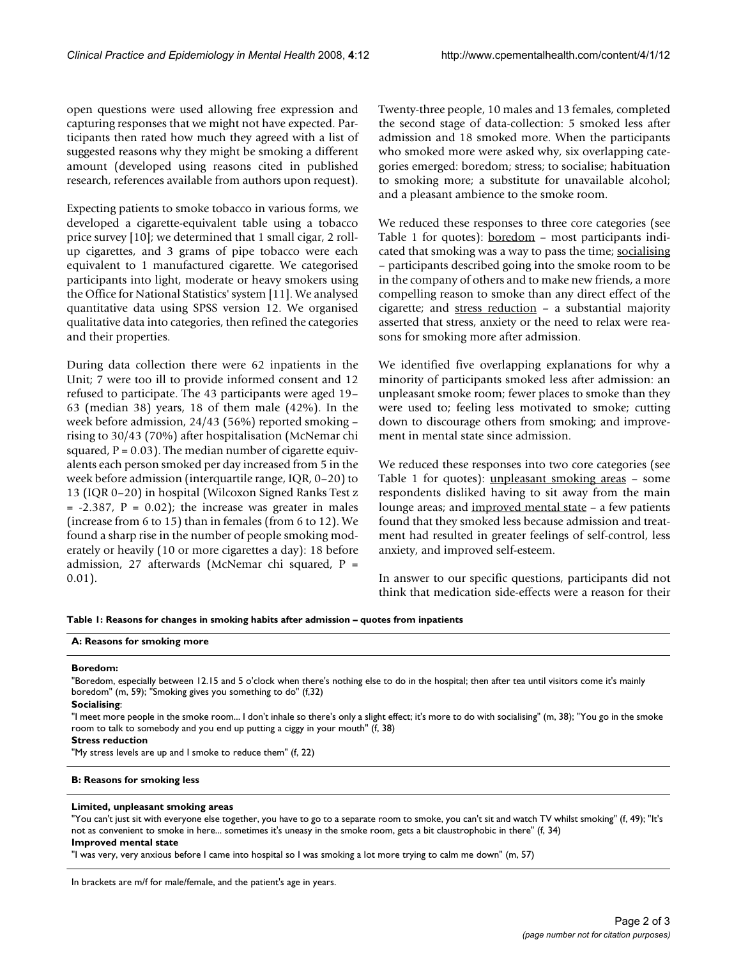open questions were used allowing free expression and capturing responses that we might not have expected. Participants then rated how much they agreed with a list of suggested reasons why they might be smoking a different amount (developed using reasons cited in published research, references available from authors upon request).

Expecting patients to smoke tobacco in various forms, we developed a cigarette-equivalent table using a tobacco price survey [10]; we determined that 1 small cigar, 2 rollup cigarettes, and 3 grams of pipe tobacco were each equivalent to 1 manufactured cigarette. We categorised participants into light, moderate or heavy smokers using the Office for National Statistics' system [11]. We analysed quantitative data using SPSS version 12. We organised qualitative data into categories, then refined the categories and their properties.

During data collection there were 62 inpatients in the Unit; 7 were too ill to provide informed consent and 12 refused to participate. The 43 participants were aged 19– 63 (median 38) years, 18 of them male (42%). In the week before admission, 24/43 (56%) reported smoking – rising to 30/43 (70%) after hospitalisation (McNemar chi squared,  $P = 0.03$ ). The median number of cigarette equivalents each person smoked per day increased from 5 in the week before admission (interquartile range, IQR, 0–20) to 13 (IQR 0–20) in hospital (Wilcoxon Signed Ranks Test z  $= -2.387$ ,  $P = 0.02$ ); the increase was greater in males (increase from 6 to 15) than in females (from 6 to 12). We found a sharp rise in the number of people smoking moderately or heavily (10 or more cigarettes a day): 18 before admission, 27 afterwards (McNemar chi squared, P = 0.01).

Twenty-three people, 10 males and 13 females, completed the second stage of data-collection: 5 smoked less after admission and 18 smoked more. When the participants who smoked more were asked why, six overlapping categories emerged: boredom; stress; to socialise; habituation to smoking more; a substitute for unavailable alcohol; and a pleasant ambience to the smoke room.

We reduced these responses to three core categories (see Table 1 for quotes): <u>boredom</u> – most participants indicated that smoking was a way to pass the time; socialising – participants described going into the smoke room to be in the company of others and to make new friends, a more compelling reason to smoke than any direct effect of the cigarette; and stress reduction – a substantial majority asserted that stress, anxiety or the need to relax were reasons for smoking more after admission.

We identified five overlapping explanations for why a minority of participants smoked less after admission: an unpleasant smoke room; fewer places to smoke than they were used to; feeling less motivated to smoke; cutting down to discourage others from smoking; and improvement in mental state since admission.

We reduced these responses into two core categories (see Table 1 for quotes): unpleasant smoking areas - some respondents disliked having to sit away from the main lounge areas; and improved mental state – a few patients found that they smoked less because admission and treatment had resulted in greater feelings of self-control, less anxiety, and improved self-esteem.

In answer to our specific questions, participants did not think that medication side-effects were a reason for their

**Table 1: Reasons for changes in smoking habits after admission – quotes from inpatients**

#### **A: Reasons for smoking more**

# **Boredom:**

"Boredom, especially between 12.15 and 5 o'clock when there's nothing else to do in the hospital; then after tea until visitors come it's mainly boredom" (m, 59); "Smoking gives you something to do" (f,32)

#### **Socialising**:

"I meet more people in the smoke room... I don't inhale so there's only a slight effect; it's more to do with socialising" (m, 38); "You go in the smoke room to talk to somebody and you end up putting a ciggy in your mouth" (f, 38)

#### **Stress reduction**

"My stress levels are up and I smoke to reduce them" (f, 22)

#### **B: Reasons for smoking less**

#### **Limited, unpleasant smoking areas**

"You can't just sit with everyone else together, you have to go to a separate room to smoke, you can't sit and watch TV whilst smoking" (f, 49); "It's not as convenient to smoke in here... sometimes it's uneasy in the smoke room, gets a bit claustrophobic in there" (f, 34) **Improved mental state**

"I was very, very anxious before I came into hospital so I was smoking a lot more trying to calm me down" (m, 57)

In brackets are m/f for male/female, and the patient's age in years.